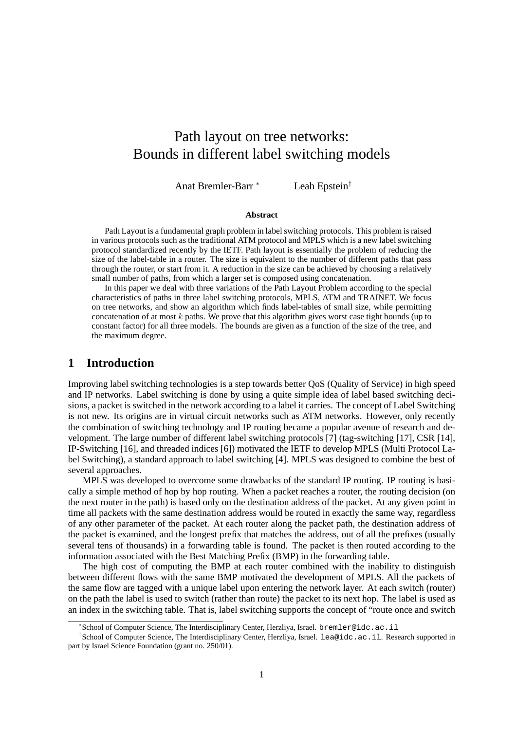# Path layout on tree networks: Bounds in different label switching models

Anat Bremler-Barr <sup>∗</sup> Leah Epstein†

#### **Abstract**

Path Layout is a fundamental graph problem in label switching protocols. This problem is raised in various protocols such as the traditional ATM protocol and MPLS which is a new label switching protocol standardized recently by the IETF. Path layout is essentially the problem of reducing the size of the label-table in a router. The size is equivalent to the number of different paths that pass through the router, or start from it. A reduction in the size can be achieved by choosing a relatively small number of paths, from which a larger set is composed using concatenation.

In this paper we deal with three variations of the Path Layout Problem according to the special characteristics of paths in three label switching protocols, MPLS, ATM and TRAINET. We focus on tree networks, and show an algorithm which finds label-tables of small size, while permitting concatenation of at most  $k$  paths. We prove that this algorithm gives worst case tight bounds (up to constant factor) for all three models. The bounds are given as a function of the size of the tree, and the maximum degree.

## **1 Introduction**

Improving label switching technologies is a step towards better QoS (Quality of Service) in high speed and IP networks. Label switching is done by using a quite simple idea of label based switching decisions, a packet is switched in the network according to a label it carries. The concept of Label Switching is not new. Its origins are in virtual circuit networks such as ATM networks. However, only recently the combination of switching technology and IP routing became a popular avenue of research and development. The large number of different label switching protocols [7] (tag-switching [17], CSR [14], IP-Switching [16], and threaded indices [6]) motivated the IETF to develop MPLS (Multi Protocol Label Switching), a standard approach to label switching [4]. MPLS was designed to combine the best of several approaches.

MPLS was developed to overcome some drawbacks of the standard IP routing. IP routing is basically a simple method of hop by hop routing. When a packet reaches a router, the routing decision (on the next router in the path) is based only on the destination address of the packet. At any given point in time all packets with the same destination address would be routed in exactly the same way, regardless of any other parameter of the packet. At each router along the packet path, the destination address of the packet is examined, and the longest prefix that matches the address, out of all the prefixes (usually several tens of thousands) in a forwarding table is found. The packet is then routed according to the information associated with the Best Matching Prefix (BMP) in the forwarding table.

The high cost of computing the BMP at each router combined with the inability to distinguish between different flows with the same BMP motivated the development of MPLS. All the packets of the same flow are tagged with a unique label upon entering the network layer. At each switch (router) on the path the label is used to switch (rather than route) the packet to its next hop. The label is used as an index in the switching table. That is, label switching supports the concept of "route once and switch

<sup>∗</sup> School of Computer Science, The Interdisciplinary Center, Herzliya, Israel. bremler@idc.ac.il

<sup>†</sup> School of Computer Science, The Interdisciplinary Center, Herzliya, Israel. lea@idc.ac.il. Research supported in part by Israel Science Foundation (grant no. 250/01).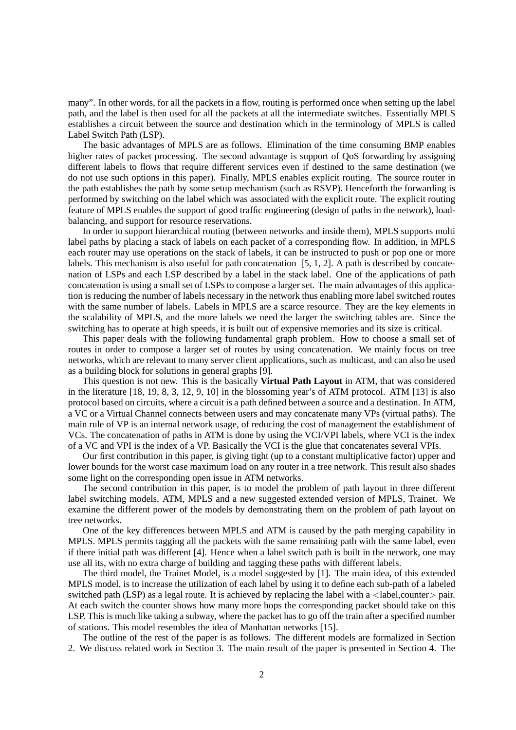many". In other words, for all the packets in a flow, routing is performed once when setting up the label path, and the label is then used for all the packets at all the intermediate switches. Essentially MPLS establishes a circuit between the source and destination which in the terminology of MPLS is called Label Switch Path (LSP).

The basic advantages of MPLS are as follows. Elimination of the time consuming BMP enables higher rates of packet processing. The second advantage is support of QoS forwarding by assigning different labels to flows that require different services even if destined to the same destination (we do not use such options in this paper). Finally, MPLS enables explicit routing. The source router in the path establishes the path by some setup mechanism (such as RSVP). Henceforth the forwarding is performed by switching on the label which was associated with the explicit route. The explicit routing feature of MPLS enables the support of good traffic engineering (design of paths in the network), loadbalancing, and support for resource reservations.

In order to support hierarchical routing (between networks and inside them), MPLS supports multi label paths by placing a stack of labels on each packet of a corresponding flow. In addition, in MPLS each router may use operations on the stack of labels, it can be instructed to push or pop one or more labels. This mechanism is also useful for path concatenation [5, 1, 2]. A path is described by concatenation of LSPs and each LSP described by a label in the stack label. One of the applications of path concatenation is using a small set of LSPs to compose a larger set. The main advantages of this application is reducing the number of labels necessary in the network thus enabling more label switched routes with the same number of labels. Labels in MPLS are a scarce resource. They are the key elements in the scalability of MPLS, and the more labels we need the larger the switching tables are. Since the switching has to operate at high speeds, it is built out of expensive memories and its size is critical.

This paper deals with the following fundamental graph problem. How to choose a small set of routes in order to compose a larger set of routes by using concatenation. We mainly focus on tree networks, which are relevant to many server client applications, such as multicast, and can also be used as a building block for solutions in general graphs [9].

This question is not new. This is the basically **Virtual Path Layout** in ATM, that was considered in the literature [18, 19, 8, 3, 12, 9, 10] in the blossoming year's of ATM protocol. ATM [13] is also protocol based on circuits, where a circuit is a path defined between a source and a destination. In ATM, a VC or a Virtual Channel connects between users and may concatenate many VPs (virtual paths). The main rule of VP is an internal network usage, of reducing the cost of management the establishment of VCs. The concatenation of paths in ATM is done by using the VCI/VPI labels, where VCI is the index of a VC and VPI is the index of a VP. Basically the VCI is the glue that concatenates several VPIs.

Our first contribution in this paper, is giving tight (up to a constant multiplicative factor) upper and lower bounds for the worst case maximum load on any router in a tree network. This result also shades some light on the corresponding open issue in ATM networks.

The second contribution in this paper, is to model the problem of path layout in three different label switching models, ATM, MPLS and a new suggested extended version of MPLS, Trainet. We examine the different power of the models by demonstrating them on the problem of path layout on tree networks.

One of the key differences between MPLS and ATM is caused by the path merging capability in MPLS. MPLS permits tagging all the packets with the same remaining path with the same label, even if there initial path was different [4]. Hence when a label switch path is built in the network, one may use all its, with no extra charge of building and tagging these paths with different labels.

The third model, the Trainet Model, is a model suggested by [1]. The main idea, of this extended MPLS model, is to increase the utilization of each label by using it to define each sub-path of a labeled switched path (LSP) as a legal route. It is achieved by replacing the label with a  $\lt$ label,counter $\gt$  pair. At each switch the counter shows how many more hops the corresponding packet should take on this LSP. This is much like taking a subway, where the packet has to go off the train after a specified number of stations. This model resembles the idea of Manhattan networks [15].

The outline of the rest of the paper is as follows. The different models are formalized in Section 2. We discuss related work in Section 3. The main result of the paper is presented in Section 4. The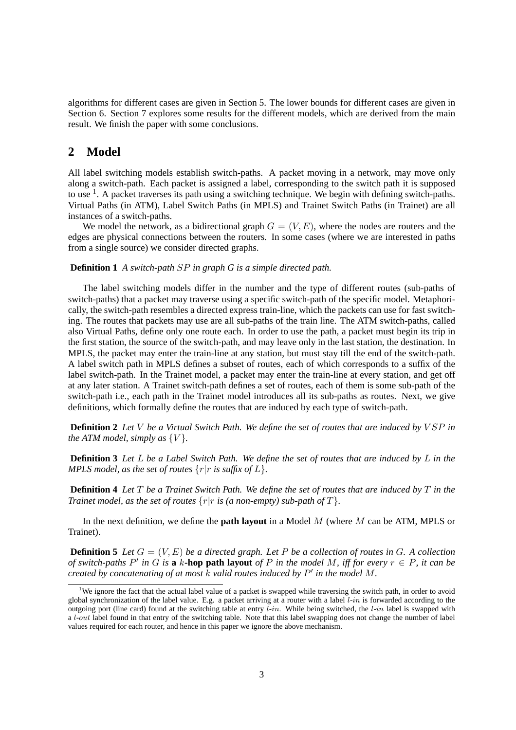algorithms for different cases are given in Section 5. The lower bounds for different cases are given in Section 6. Section 7 explores some results for the different models, which are derived from the main result. We finish the paper with some conclusions.

# **2 Model**

All label switching models establish switch-paths. A packet moving in a network, may move only along a switch-path. Each packet is assigned a label, corresponding to the switch path it is supposed to use <sup>1</sup>. A packet traverses its path using a switching technique. We begin with defining switch-paths. Virtual Paths (in ATM), Label Switch Paths (in MPLS) and Trainet Switch Paths (in Trainet) are all instances of a switch-paths.

We model the network, as a bidirectional graph  $G = (V, E)$ , where the nodes are routers and the edges are physical connections between the routers. In some cases (where we are interested in paths from a single source) we consider directed graphs.

#### **Definition 1** *A switch-path* SP *in graph G is a simple directed path.*

The label switching models differ in the number and the type of different routes (sub-paths of switch-paths) that a packet may traverse using a specific switch-path of the specific model. Metaphorically, the switch-path resembles a directed express train-line, which the packets can use for fast switching. The routes that packets may use are all sub-paths of the train line. The ATM switch-paths, called also Virtual Paths, define only one route each. In order to use the path, a packet must begin its trip in the first station, the source of the switch-path, and may leave only in the last station, the destination. In MPLS, the packet may enter the train-line at any station, but must stay till the end of the switch-path. A label switch path in MPLS defines a subset of routes, each of which corresponds to a suffix of the label switch-path. In the Trainet model, a packet may enter the train-line at every station, and get off at any later station. A Trainet switch-path defines a set of routes, each of them is some sub-path of the switch-path i.e., each path in the Trainet model introduces all its sub-paths as routes. Next, we give definitions, which formally define the routes that are induced by each type of switch-path.

**Definition 2** *Let* V *be a Virtual Switch Path. We define the set of routes that are induced by* V SP *in the ATM model, simply as*  $\{V\}$ *.* 

**Definition 3** *Let* L *be a Label Switch Path. We define the set of routes that are induced by* L *in the MPLS model, as the set of routes*  $\{r|r \text{ is suffix of } L\}.$ 

**Definition 4** *Let* T *be a Trainet Switch Path. We define the set of routes that are induced by* T *in the Trainet model, as the set of routes*  $\{r|r \text{ is (a non-empty) sub-path of }T\}$ .

In the next definition, we define the **path layout** in a Model M (where M can be ATM, MPLS or Trainet).

**Definition 5** Let  $G = (V, E)$  be a directed graph. Let P be a collection of routes in G. A collection *of switch-paths*  $P'$  *in*  $G$  *is* **a**  $k$ **-hop path layout** *of*  $P$  *in the model*  $M$ *, iff for every*  $r \in P$ *, it can be created by concatenating of at most* k *valid routes induced by* P 0 *in the model* M*.*

<sup>&</sup>lt;sup>1</sup>We ignore the fact that the actual label value of a packet is swapped while traversing the switch path, in order to avoid global synchronization of the label value. E.g. a packet arriving at a router with a label  $l$ -in is forwarded according to the outgoing port (line card) found at the switching table at entry  $\bar{l}\text{-}in$ . While being switched, the  $l\text{-}in$  label is swapped with a *l*-out label found in that entry of the switching table. Note that this label swapping does not change the number of label values required for each router, and hence in this paper we ignore the above mechanism.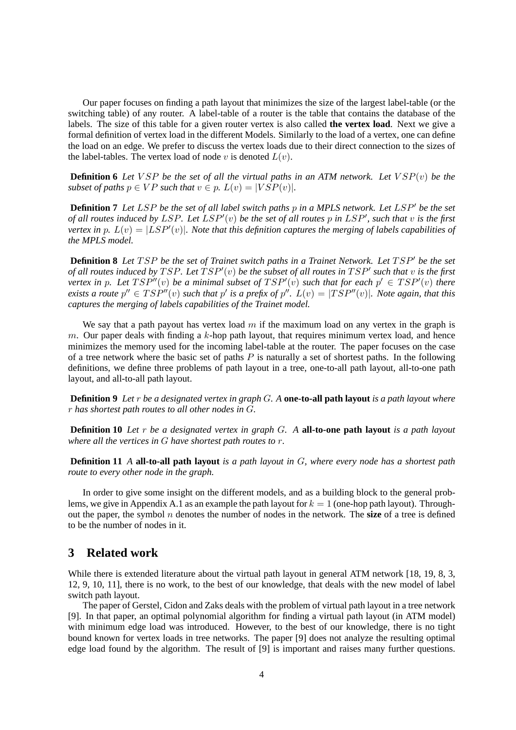Our paper focuses on finding a path layout that minimizes the size of the largest label-table (or the switching table) of any router. A label-table of a router is the table that contains the database of the labels. The size of this table for a given router vertex is also called **the vertex load**. Next we give a formal definition of vertex load in the different Models. Similarly to the load of a vertex, one can define the load on an edge. We prefer to discuss the vertex loads due to their direct connection to the sizes of the label-tables. The vertex load of node v is denoted  $L(v)$ .

**Definition 6** Let  $VSP$  be the set of all the virtual paths in an ATM network. Let  $VSP(v)$  be the *subset of paths*  $p \in VP$  *such that*  $v \in p$ *.*  $L(v) = |VSP(v)|$ *.* 

**Definition 7** Let LSP be the set of all label switch paths p in a MPLS network. Let LSP' be the set *of all routes induced by LSP. Let*  $LSP'(v)$  *be the set of all routes p in LSP', such that* v *is the first* vertex in  $p$ .  $L(v) = |LSP'(v)|$ . Note that this definition captures the merging of labels capabilities of *the MPLS model.*

**Definition 8** Let TSP be the set of Trainet switch paths in a Trainet Network. Let TSP' be the set *of all routes induced by TSP. Let*  $TSP'(v)$  *be the subset of all routes in TSP' such that* v is the first  $\mathbf{v}$  *ertex in p. Let*  $TSP''(v)$  *be a minimal subset of*  $TSP'(v)$  *such that for each*  $p' \in TSP'(v)$  *there exists a route*  $p'' \in TSP''(v)$  *such that*  $p'$  *is a prefix of*  $p''$ *.*  $L(v) = |TSP''(v)|$ *. Note again, that this captures the merging of labels capabilities of the Trainet model.*

We say that a path payout has vertex load  $m$  if the maximum load on any vertex in the graph is m. Our paper deals with finding a  $k$ -hop path layout, that requires minimum vertex load, and hence minimizes the memory used for the incoming label-table at the router. The paper focuses on the case of a tree network where the basic set of paths  $P$  is naturally a set of shortest paths. In the following definitions, we define three problems of path layout in a tree, one-to-all path layout, all-to-one path layout, and all-to-all path layout.

**Definition 9** *Let* r *be a designated vertex in graph* G*. A* **one-to-all path layout** *is a path layout where* r *has shortest path routes to all other nodes in* G*.*

**Definition 10** *Let* r *be a designated vertex in graph* G*. A* **all-to-one path layout** *is a path layout where all the vertices in* G *have shortest path routes to* r*.*

**Definition 11** *A* **all-to-all path layout** *is a path layout in* G*, where every node has a shortest path route to every other node in the graph.*

In order to give some insight on the different models, and as a building block to the general problems, we give in Appendix A.1 as an example the path layout for  $k = 1$  (one-hop path layout). Throughout the paper, the symbol  $n$  denotes the number of nodes in the network. The **size** of a tree is defined to be the number of nodes in it.

## **3 Related work**

While there is extended literature about the virtual path layout in general ATM network [18, 19, 8, 3, 12, 9, 10, 11], there is no work, to the best of our knowledge, that deals with the new model of label switch path layout.

The paper of Gerstel, Cidon and Zaks deals with the problem of virtual path layout in a tree network [9]. In that paper, an optimal polynomial algorithm for finding a virtual path layout (in ATM model) with minimum edge load was introduced. However, to the best of our knowledge, there is no tight bound known for vertex loads in tree networks. The paper [9] does not analyze the resulting optimal edge load found by the algorithm. The result of [9] is important and raises many further questions.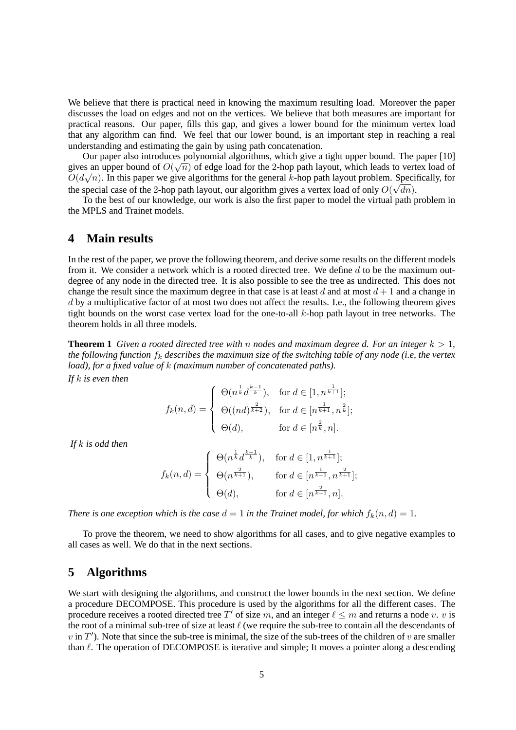We believe that there is practical need in knowing the maximum resulting load. Moreover the paper discusses the load on edges and not on the vertices. We believe that both measures are important for practical reasons. Our paper, fills this gap, and gives a lower bound for the minimum vertex load that any algorithm can find. We feel that our lower bound, is an important step in reaching a real understanding and estimating the gain by using path concatenation.

Our paper also introduces polynomial algorithms, which give a tight upper bound. The paper [10] √ gives an upper bound of  $O(\sqrt{n})$  of edge load for the 2-hop path layout, which leads to vertex load of  $O(d\sqrt{n})$ . In this paper we give algorithms for the general k-hop path layout problem. Specifically, for the special case of the 2-hop path layout, our algorithm gives a vertex load of only  $O(\sqrt{dn})$ .

To the best of our knowledge, our work is also the first paper to model the virtual path problem in the MPLS and Trainet models.

#### **4 Main results**

In the rest of the paper, we prove the following theorem, and derive some results on the different models from it. We consider a network which is a rooted directed tree. We define  $d$  to be the maximum outdegree of any node in the directed tree. It is also possible to see the tree as undirected. This does not change the result since the maximum degree in that case is at least d and at most  $d+1$  and a change in d by a multiplicative factor of at most two does not affect the results. I.e., the following theorem gives tight bounds on the worst case vertex load for the one-to-all k-hop path layout in tree networks. The theorem holds in all three models.

**Theorem 1** *Given a rooted directed tree with* n nodes and maximum degree d. For an integer  $k > 1$ , *the following function*  $f_k$  *describes the maximum size of the switching table of any node (i.e, the vertex load), for a fixed value of* k *(maximum number of concatenated paths). If* k *is even then*

$$
f_k(n,d) = \begin{cases} \Theta(n^{\frac{1}{k}}d^{\frac{k-1}{k}}), & \text{for } d \in [1, n^{\frac{1}{k+1}}]; \\ \Theta((nd)^{\frac{2}{k+2}}), & \text{for } d \in [n^{\frac{1}{k+1}}, n^{\frac{2}{k}}]; \\ \Theta(d), & \text{for } d \in [n^{\frac{2}{k}}, n]. \end{cases}
$$

*If* k *is odd then*

$$
f_k(n,d) = \begin{cases} \Theta(n^{\frac{1}{k}}d^{\frac{k-1}{k}}), & \text{for } d \in [1, n^{\frac{1}{k+1}}]; \\ \Theta(n^{\frac{2}{k+1}}), & \text{for } d \in [n^{\frac{1}{k+1}}, n^{\frac{2}{k+1}}]; \\ \Theta(d), & \text{for } d \in [n^{\frac{2}{k+1}}, n]. \end{cases}
$$

*There is one exception which is the case*  $d = 1$  *in the Trainet model, for which*  $f_k(n, d) = 1$ *.* 

To prove the theorem, we need to show algorithms for all cases, and to give negative examples to all cases as well. We do that in the next sections.

## **5 Algorithms**

We start with designing the algorithms, and construct the lower bounds in the next section. We define a procedure DECOMPOSE. This procedure is used by the algorithms for all the different cases. The procedure receives a rooted directed tree T' of size m, and an integer  $\ell \leq m$  and returns a node v. v is the root of a minimal sub-tree of size at least  $\ell$  (we require the sub-tree to contain all the descendants of v in  $T'$ ). Note that since the sub-tree is minimal, the size of the sub-trees of the children of v are smaller than  $\ell$ . The operation of DECOMPOSE is iterative and simple; It moves a pointer along a descending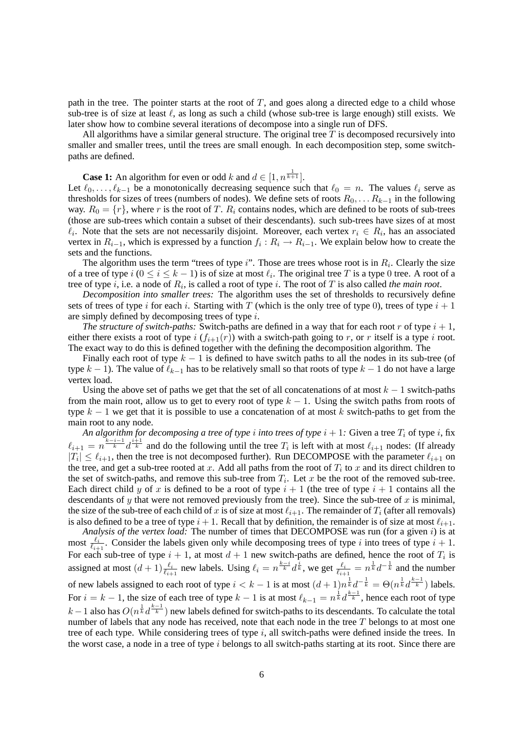path in the tree. The pointer starts at the root of  $T$ , and goes along a directed edge to a child whose sub-tree is of size at least  $\ell$ , as long as such a child (whose sub-tree is large enough) still exists. We later show how to combine several iterations of decompose into a single run of DFS.

All algorithms have a similar general structure. The original tree  $T$  is decomposed recursively into smaller and smaller trees, until the trees are small enough. In each decomposition step, some switchpaths are defined.

**Case 1:** An algorithm for even or odd k and  $d \in [1, n^{\frac{1}{k+1}}]$ .

Let  $\ell_0, \ldots, \ell_{k-1}$  be a monotonically decreasing sequence such that  $\ell_0 = n$ . The values  $\ell_i$  serve as thresholds for sizes of trees (numbers of nodes). We define sets of roots  $R_0, \ldots R_{k-1}$  in the following way.  $R_0 = \{r\}$ , where r is the root of T.  $R_i$  contains nodes, which are defined to be roots of sub-trees (those are sub-trees which contain a subset of their descendants). such sub-trees have sizes of at most  $\ell_i$ . Note that the sets are not necessarily disjoint. Moreover, each vertex  $r_i \in R_i$ , has an associated vertex in  $R_{i-1}$ , which is expressed by a function  $f_i: R_i \to R_{i-1}$ . We explain below how to create the sets and the functions.

The algorithm uses the term "trees of type  $i$ ". Those are trees whose root is in  $R_i$ . Clearly the size of a tree of type  $i$   $(0 \le i \le k - 1)$  is of size at most  $\ell_i$ . The original tree T is a type 0 tree. A root of a tree of type  $i$ , i.e. a node of  $R_i$ , is called a root of type  $i$ . The root of  $T$  is also called *the main root*.

*Decomposition into smaller trees:* The algorithm uses the set of thresholds to recursively define sets of trees of type i for each i. Starting with T (which is the only tree of type 0), trees of type  $i + 1$ are simply defined by decomposing trees of type i.

*The structure of switch-paths:* Switch-paths are defined in a way that for each root r of type  $i + 1$ , either there exists a root of type  $i$  ( $f_{i+1}(r)$ ) with a switch-path going to r, or r itself is a type i root. The exact way to do this is defined together with the defining the decomposition algorithm. The

Finally each root of type  $k - 1$  is defined to have switch paths to all the nodes in its sub-tree (of type  $k - 1$ ). The value of  $\ell_{k-1}$  has to be relatively small so that roots of type  $k - 1$  do not have a large vertex load.

Using the above set of paths we get that the set of all concatenations of at most  $k - 1$  switch-paths from the main root, allow us to get to every root of type  $k - 1$ . Using the switch paths from roots of type  $k - 1$  we get that it is possible to use a concatenation of at most k switch-paths to get from the main root to any node.

*An algorithm for decomposing a tree of type i into trees of type*  $i + 1$ : Given a tree  $T_i$  of type  $i$ , fix  $\ell_{i+1} = n^{\frac{k-i-1}{k}} d^{\frac{i+1}{k}}$  and do the following until the tree  $T_i$  is left with at most  $\ell_{i+1}$  nodes: (If already  $|T_i| \leq \ell_{i+1}$ , then the tree is not decomposed further). Run DECOMPOSE with the parameter  $\ell_{i+1}$  on the tree, and get a sub-tree rooted at x. Add all paths from the root of  $T_i$  to x and its direct children to the set of switch-paths, and remove this sub-tree from  $T_i$ . Let x be the root of the removed sub-tree. Each direct child y of x is defined to be a root of type  $i + 1$  (the tree of type  $i + 1$  contains all the descendants of y that were not removed previously from the tree). Since the sub-tree of  $x$  is minimal, the size of the sub-tree of each child of x is of size at most  $\ell_{i+1}$ . The remainder of  $T_i$  (after all removals) is also defined to be a tree of type  $i + 1$ . Recall that by definition, the remainder is of size at most  $\ell_{i+1}$ .

*Analysis of the vertex load:* The number of times that DECOMPOSE was run (for a given i) is at most  $\frac{\ell_i}{\ell_{i+1}}$ . Consider the labels given only while decomposing trees of type i into trees of type  $i + 1$ . For each sub-tree of type  $i + 1$ , at most  $d + 1$  new switch-paths are defined, hence the root of  $T_i$  is assigned at most  $(d+1) \frac{\ell_i}{\ell_{i+1}}$  new labels. Using  $\ell_i = n^{\frac{k-i}{k}} d^{\frac{i}{k}}$ , we get  $\frac{\ell_i}{\ell_{i+1}} = n^{\frac{1}{k}} d^{-\frac{1}{k}}$  and the number of new labels assigned to each root of type  $i < k-1$  is at most  $(d+1)n^{\frac{1}{k}}d^{-\frac{1}{k}} = \Theta(n^{\frac{1}{k}}d^{\frac{k-1}{k}})$  labels. For  $i = k - 1$ , the size of each tree of type  $k - 1$  is at most  $\ell_{k-1} = n^{\frac{1}{k}} d^{\frac{k-1}{k}}$ , hence each root of type  $k-1$  also has  $O(n^{\frac{1}{k}}d^{\frac{k-1}{k}})$  new labels defined for switch-paths to its descendants. To calculate the total number of labels that any node has received, note that each node in the tree  $T$  belongs to at most one tree of each type. While considering trees of type  $i$ , all switch-paths were defined inside the trees. In the worst case, a node in a tree of type  $i$  belongs to all switch-paths starting at its root. Since there are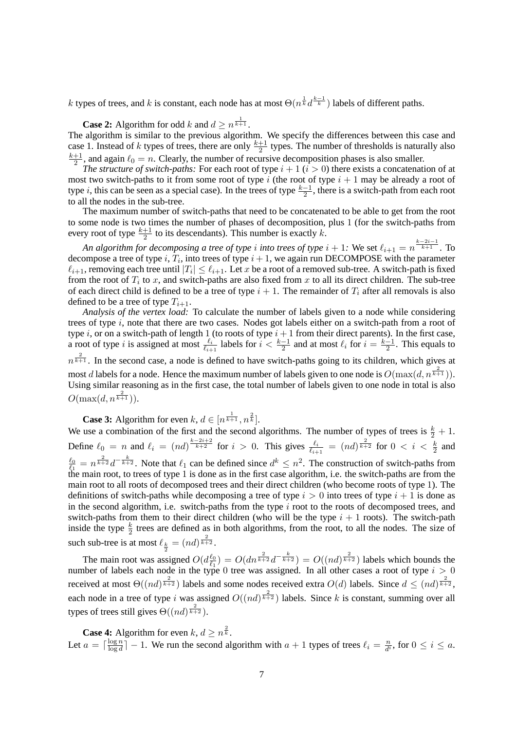k types of trees, and k is constant, each node has at most  $\Theta(n^{\frac{1}{k}}d^{\frac{k-1}{k}})$  labels of different paths.

**Case 2:** Algorithm for odd k and  $d \ge n^{\frac{1}{k+1}}$ .

The algorithm is similar to the previous algorithm. We specify the differences between this case and case 1. Instead of k types of trees, there are only  $\frac{k+1}{2}$  types. The number of thresholds is naturally also  $k+1$  $\frac{1}{2}$ , and again  $\ell_0 = n$ . Clearly, the number of recursive decomposition phases is also smaller.

*The structure of switch-paths:* For each root of type  $i + 1$  ( $i > 0$ ) there exists a concatenation of at most two switch-paths to it from some root of type  $i$  (the root of type  $i + 1$  may be already a root of type *i*, this can be seen as a special case). In the trees of type  $\frac{k-1}{2}$ , there is a switch-path from each root to all the nodes in the sub-tree.

The maximum number of switch-paths that need to be concatenated to be able to get from the root to some node is two times the number of phases of decomposition, plus 1 (for the switch-paths from every root of type  $\frac{k+1}{2}$  to its descendants). This number is exactly k.

*An algorithm for decomposing a tree of type i into trees of type*  $i + 1$ : We set  $\ell_{i+1} = n^{\frac{k-2i-1}{k+1}}$ . To decompose a tree of type i,  $T_i$ , into trees of type  $i + 1$ , we again run DECOMPOSE with the parameter  $\ell_{i+1}$ , removing each tree until  $|T_i| \leq \ell_{i+1}$ . Let x be a root of a removed sub-tree. A switch-path is fixed from the root of  $T_i$  to x, and switch-paths are also fixed from x to all its direct children. The sub-tree of each direct child is defined to be a tree of type  $i + 1$ . The remainder of  $T_i$  after all removals is also defined to be a tree of type  $T_{i+1}$ .

*Analysis of the vertex load:* To calculate the number of labels given to a node while considering trees of type i, note that there are two cases. Nodes got labels either on a switch-path from a root of type i, or on a switch-path of length 1 (to roots of type  $i + 1$  from their direct parents). In the first case, a root of type i is assigned at most  $\frac{\ell_i}{\ell_{i+1}}$  labels for  $i < \frac{k-1}{2}$  and at most  $\ell_i$  for  $i = \frac{k-1}{2}$  $\frac{-1}{2}$ . This equals to  $n^{\frac{2}{k+1}}$ . In the second case, a node is defined to have switch-paths going to its children, which gives at most d labels for a node. Hence the maximum number of labels given to one node is  $O(\max(d, n^{\frac{2}{k+1}}))$ . Using similar reasoning as in the first case, the total number of labels given to one node in total is also  $O(\max(d, n^{\frac{2}{k+1}})).$ 

**Case 3:** Algorithm for even  $k, d \in [n^{\frac{1}{k+1}}, n^{\frac{2}{k}}]$ .

We use a combination of the first and the second algorithms. The number of types of trees is  $\frac{k}{2} + 1$ . Define  $\ell_0 = n$  and  $\ell_i = (nd)^{\frac{k-2i+2}{k+2}}$  for  $i > 0$ . This gives  $\frac{\ell_i}{\ell_{i+1}} = (nd)^{\frac{2}{k+2}}$  for  $0 < i < \frac{k}{2}$  and  $\ell_0$  $\frac{\ell_0}{\ell_1} = n^{\frac{2}{k+2}} d^{-\frac{k}{k+2}}$ . Note that  $\ell_1$  can be defined since  $d^k \leq n^2$ . The construction of switch-paths from the main root, to trees of type 1 is done as in the first case algorithm, i.e. the switch-paths are from the main root to all roots of decomposed trees and their direct children (who become roots of type 1). The definitions of switch-paths while decomposing a tree of type  $i > 0$  into trees of type  $i + 1$  is done as in the second algorithm, i.e. switch-paths from the type  $i$  root to the roots of decomposed trees, and switch-paths from them to their direct children (who will be the type  $i + 1$  roots). The switch-path inside the type  $\frac{k}{2}$  trees are defined as in both algorithms, from the root, to all the nodes. The size of such sub-tree is at most  $\ell_k = (nd)^{\frac{2}{k+2}}$ .

 $\overline{2}$ The main root was assigned  $O(d_{\ell_0}^{\ell_0})$  $\frac{\ell_0}{\ell_1}$ ) =  $O(dn^{\frac{2}{k+2}}d^{-\frac{k}{k+2}})$  =  $O((nd)^{\frac{2}{k+2}})$  labels which bounds the number of labels each node in the type 0 tree was assigned. In all other cases a root of type  $i > 0$ received at most  $\Theta((nd)^{\frac{2}{k+2}})$  labels and some nodes received extra  $O(d)$  labels. Since  $d \leq (nd)^{\frac{2}{k+2}}$ , each node in a tree of type i was assigned  $O((nd)^{\frac{2}{k+2}})$  labels. Since k is constant, summing over all types of trees still gives  $\Theta((nd)^{\frac{2}{k+2}})$ .

**Case 4:** Algorithm for even  $k, d \geq n^{\frac{2}{k}}$ . Let  $a = \lceil \frac{\log n}{\log d} \rceil$  $\frac{\log n}{\log d}$  | – 1. We run the second algorithm with  $a + 1$  types of trees  $\ell_i = \frac{n}{d^i}$  $\frac{n}{d^i}$ , for  $0 \leq i \leq a$ .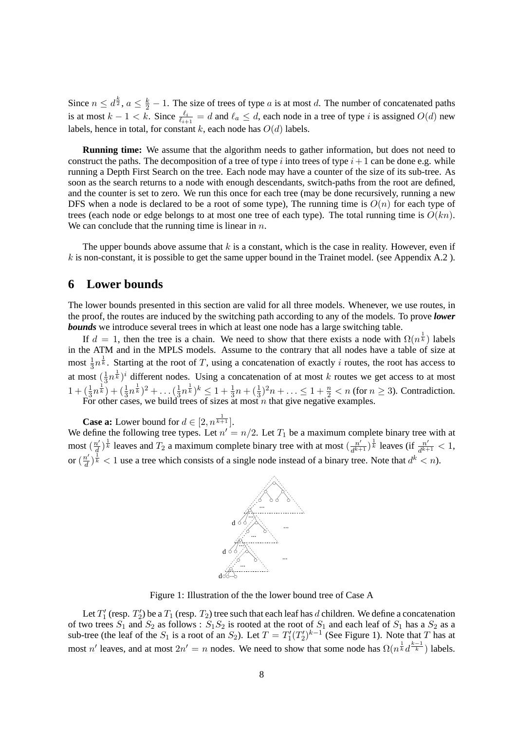Since  $n \leq d^{\frac{k}{2}}$ ,  $a \leq \frac{k}{2} - 1$ . The size of trees of type a is at most d. The number of concatenated paths is at most  $k - 1 < k$ . Since  $\frac{\ell_i}{\ell_{i+1}} = d$  and  $\ell_a \leq d$ , each node in a tree of type i is assigned  $O(d)$  new labels, hence in total, for constant k, each node has  $O(d)$  labels.

**Running time:** We assume that the algorithm needs to gather information, but does not need to construct the paths. The decomposition of a tree of type i into trees of type  $i+1$  can be done e.g. while running a Depth First Search on the tree. Each node may have a counter of the size of its sub-tree. As soon as the search returns to a node with enough descendants, switch-paths from the root are defined, and the counter is set to zero. We run this once for each tree (may be done recursively, running a new DFS when a node is declared to be a root of some type). The running time is  $O(n)$  for each type of trees (each node or edge belongs to at most one tree of each type). The total running time is  $O(kn)$ . We can conclude that the running time is linear in  $n$ .

The upper bounds above assume that  $k$  is a constant, which is the case in reality. However, even if k is non-constant, it is possible to get the same upper bound in the Trainet model. (see Appendix A.2).

#### **6 Lower bounds**

The lower bounds presented in this section are valid for all three models. Whenever, we use routes, in the proof, the routes are induced by the switching path according to any of the models. To prove *lower bounds* we introduce several trees in which at least one node has a large switching table.

If  $d = 1$ , then the tree is a chain. We need to show that there exists a node with  $\Omega(n^{\frac{1}{k}})$  labels in the ATM and in the MPLS models. Assume to the contrary that all nodes have a table of size at most  $\frac{1}{3}n^{\frac{1}{k}}$ . Starting at the root of T, using a concatenation of exactly i routes, the root has access to at most  $(\frac{1}{3})$  $\frac{1}{3}n^{\frac{1}{k}}$ <sup> $\frac{1}{k}$ </sup> different nodes. Using a concatenation of at most k routes we get access to at most  $1 + (\frac{1}{3}n^{\frac{1}{k}}) + (\frac{1}{3}n^{\frac{1}{k}})^2 + \ldots (\frac{1}{3}n^{\frac{1}{k}})$  $(\frac{1}{3}n^{\frac{1}{k}})^k \leq 1 + \frac{1}{3}n + (\frac{1}{3})^2n + \ldots \leq 1 + \frac{n}{2} < n$  (for  $n \geq 3$ ). Contradiction. For other cases, we build trees of sizes at most n that give negative examples.

**Case a:** Lower bound for  $d \in [2, n^{\frac{1}{k+1}}]$ .

We define the following tree types. Let  $n' = n/2$ . Let  $T_1$  be a maximum complete binary tree with at most  $\left(\frac{n'}{d}\right)$  $\frac{a'}{d}$ )  $\frac{1}{k}$  leaves and  $T_2$  a maximum complete binary tree with at most  $\left(\frac{n'}{d^{k+1}}\right)$  $\frac{n'}{d^{k+1}}$ )<sup> $\frac{1}{k}$ </sup> leaves (if  $\frac{n'}{d^{k+1}}$  $\frac{n'}{d^{k+1}} < 1,$ or  $\left(\frac{n'}{d}\right)$  $\frac{a'}{d}$ ,  $\frac{1}{k}$  < 1 use a tree which consists of a single node instead of a binary tree. Note that  $d^k$  < n).



Figure 1: Illustration of the the lower bound tree of Case A

Let  $T_1'$  (resp.  $T_2'$ ) be a  $T_1$  (resp.  $T_2$ ) tree such that each leaf has d children. We define a concatenation of two trees  $S_1$  and  $S_2$  as follows :  $S_1S_2$  is rooted at the root of  $S_1$  and each leaf of  $S_1$  has a  $S_2$  as a sub-tree (the leaf of the  $S_1$  is a root of an  $S_2$ ). Let  $T = T_1'(T_2')^{k-1}$  (See Figure 1). Note that T has at most n' leaves, and at most  $2n' = n$  nodes. We need to show that some node has  $\Omega(n^{\frac{1}{k}}d^{\frac{k-1}{k}})$  labels.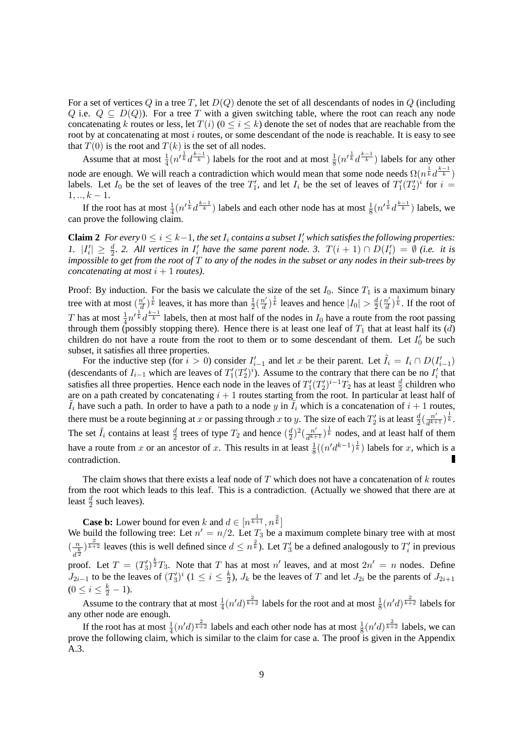For a set of vertices  $Q$  in a tree  $T$ , let  $D(Q)$  denote the set of all descendants of nodes in  $Q$  (including Q i.e.  $Q \subseteq D(Q)$ ). For a tree T with a given switching table, where the root can reach any node concatenating k routes or less, let  $T(i)$  ( $0 \le i \le k$ ) denote the set of nodes that are reachable from the root by at concatenating at most i routes, or some descendant of the node is reachable. It is easy to see that  $T(0)$  is the root and  $T(k)$  is the set of all nodes.

Assume that at most  $\frac{1}{4} (n'^{\frac{1}{k}} d^{\frac{k-1}{k}})$  labels for the root and at most  $\frac{1}{8} (n'^{\frac{1}{k}} d^{\frac{k-1}{k}})$  labels for any other node are enough. We will reach a contradiction which would mean that some node needs  $\Omega(n^{\frac{1}{k}}d^{\frac{k-1}{k}})$ labels. Let  $I_0$  be the set of leaves of the tree  $T'_1$ , and let  $I_i$  be the set of leaves of  $T'_1(T'_2)^i$  for  $i =$  $1, \ldots k - 1.$ 

If the root has at most  $\frac{1}{4} (n'^{\frac{1}{k}} d^{\frac{k-1}{k}})$  labels and each other node has at most  $\frac{1}{8} (n'^{\frac{1}{k}} d^{\frac{k-1}{k}})$  labels, we can prove the following claim.

**Claim 2** *For every*  $0 \le i \le k-1$ , the set  $I_i$  contains a subset  $I'_i$  which satisfies the following properties: *I*.  $|I'_i| \geq \frac{d}{2}$ . 2. All vertices in  $I'_i$  have the same parent node. 3.  $T(i + 1) \cap D(I'_i) = \emptyset$  (i.e. it is *impossible to get from the root of* T *to any of the nodes in the subset or any nodes in their sub-trees by concatenating at most*  $i + 1$  *routes*).

Proof: By induction. For the basis we calculate the size of the set  $I_0$ . Since  $T_1$  is a maximum binary tree with at most  $\left(\frac{n'}{d}\right)$  $\frac{a'}{d}$ )  $\frac{1}{k}$  leaves, it has more than  $\frac{1}{2}$  $(\frac{n'}{d}$  $\frac{a'}{d}$ )  $\frac{1}{k}$  leaves and hence  $|I_0| > \frac{d}{2}$  $rac{d}{2}(\frac{n'}{d}% )^{2n}=\frac{n\cdot n}{\left( \frac{n\cdot n}{d}\right) ^{n}}\left( \frac{n\cdot n}{d}\right) ^{n}\left( \frac{n\cdot n}{d}\right)$  $\frac{a'}{d}$ )  $\frac{1}{k}$ . If the root of T has at most  $\frac{1}{4}n'^{\frac{1}{k}}d^{\frac{k-1}{k}}$  labels, then at most half of the nodes in  $I_0$  have a route from the root passing through them (possibly stopping there). Hence there is at least one leaf of  $T_1$  that at least half its (d) children do not have a route from the root to them or to some descendant of them. Let  $I'_0$  be such subset, it satisfies all three properties.

For the inductive step (for  $i > 0$ ) consider  $I'_{i-1}$  and let x be their parent. Let  $\tilde{I}_i = I_i \cap D(I'_{i-1})$ (descendants of  $I_{i-1}$  which are leaves of  $T'_1(T'_2)^i$ ). Assume to the contrary that there can be no  $I'_i$  that satisfies all three properties. Hence each node in the leaves of  $T_1'(T_2')^{i-1}T_2$  has at least  $\frac{d}{2}$  children who are on a path created by concatenating  $i + 1$  routes starting from the root. In particular at least half of  $I_i$  have such a path. In order to have a path to a node y in  $I_i$  which is a concatenation of  $i + 1$  routes, there must be a route beginning at x or passing through x to y. The size of each  $T_2'$  is at least  $\frac{d}{2}(\frac{n'}{d^{k+1}})$  $\frac{n'}{d^{k+1}}$ ) $\frac{1}{k}$ . The set  $\tilde{I}_i$  contains at least  $\frac{d}{2}$  trees of type  $T_2$  and hence  $(\frac{d}{2})$  $(\frac{d}{d^{k}})^2(\frac{n'}{d^{k+1}})$  $\frac{n'}{d^{k+1}}$  and at least half of them have a route from x or an ancestor of x. This results in at least  $\frac{1}{8}((n'd^{k-1})^{\frac{1}{k}})$  labels for x, which is a contradiction.

The claim shows that there exists a leaf node of  $T$  which does not have a concatenation of  $k$  routes from the root which leads to this leaf. This is a contradiction. (Actually we showed that there are at least  $\frac{d}{2}$  such leaves).

**Case b:** Lower bound for even k and  $d \in [n^{\frac{1}{k+1}}, n^{\frac{2}{k}}]$ We build the following tree: Let  $n' = n/2$ . Let  $T_3$  be a maximum complete binary tree with at most  $\left(\frac{n}{k}\right)$  $\frac{n}{d^{\frac{k}{2}}}$  leaves (this is well defined since  $d \leq n^{\frac{2}{k}}$ ). Let  $T'_3$  be a defined analogously to  $T'_i$  in previous proof. Let  $T = (T_3')^{\frac{k}{2}}T_3$ . Note that T has at most n' leaves, and at most  $2n' = n$  nodes. Define  $J_{2i-1}$  to be the leaves of  $(T_3')^i$  ( $1 \le i \le \frac{k}{2}$  $\frac{k}{2}$ ),  $J_k$  be the leaves of T and let  $J_{2i}$  be the parents of  $J_{2i+1}$  $(0 \leq i \leq \frac{k}{2} - 1).$ 

Assume to the contrary that at most  $\frac{1}{4}(n'd)^{\frac{2}{k+2}}$  labels for the root and at most  $\frac{1}{8}(n'd)^{\frac{2}{k+2}}$  labels for any other node are enough.

If the root has at most  $\frac{1}{4} (n'd)^{\frac{2}{k+2}}$  labels and each other node has at most  $\frac{1}{8} (n'd)^{\frac{2}{k+2}}$  labels, we can prove the following claim, which is similar to the claim for case a. The proof is given in the Appendix A.3.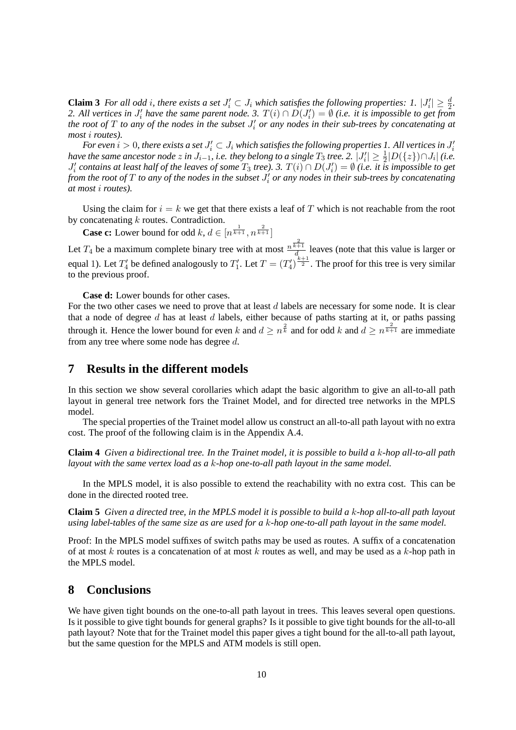**Claim 3** For all odd *i*, there exists a set  $J'_i \subset J_i$  which satisfies the following properties: 1.  $|J'_i| \geq \frac{d}{2}$ . 2. All vertices in  $J'_i$  have the same parent node. 3.  $T(i) \cap D(J'_i) = \emptyset$  (i.e. it is impossible to get from *the root of*  $T$  *to any of the nodes in the subset*  $J_i'$  *or any nodes in their sub-trees by concatenating at most* i *routes).*

For even  $i>0$ , there exists a set  $J_i'\subset J_i$  which satisfies the following properties 1. All vertices in  $J_i'$  $h$ ave the same ancestor node  $z$  in  $J_{i-1}$ , i.e. they belong to a single  $T_3$  tree. 2.  $|J_i'|\geq \frac{1}{2}|D(\{z\})\cap J_i|$  (i.e.  $J'_i$  contains at least half of the leaves of some  $T_3$  tree). 3.  $T(i) \cap D(J'_i) = \emptyset$  (i.e. it is impossible to get *from the root of*  $T$  *to any of the nodes in the subset*  $J_i'$  *or any nodes in their sub-trees by concatenating at most* i *routes).*

Using the claim for  $i = k$  we get that there exists a leaf of T which is not reachable from the root by concatenating  $k$  routes. Contradiction.

**Case c:** Lower bound for odd  $k, d \in [n^{\frac{1}{k+1}}, n^{\frac{2}{k+1}}]$ 

Let  $T_4$  be a maximum complete binary tree with at most  $\frac{n^{\frac{2}{k+1}}}{d}$  $\frac{d^{n+1}}{d}$  leaves (note that this value is larger or equal 1). Let  $T_4'$  be defined analogously to  $T_1'$ . Let  $T = (T_4')^{\frac{k+1}{2}}$ . The proof for this tree is very similar to the previous proof.

**Case d:** Lower bounds for other cases.

For the two other cases we need to prove that at least d labels are necessary for some node. It is clear that a node of degree  $d$  has at least  $d$  labels, either because of paths starting at it, or paths passing through it. Hence the lower bound for even k and  $d \geq n^{\frac{2}{k}}$  and for odd k and  $d \geq n^{\frac{2}{k+1}}$  are immediate from any tree where some node has degree d.

## **7 Results in the different models**

In this section we show several corollaries which adapt the basic algorithm to give an all-to-all path layout in general tree network fors the Trainet Model, and for directed tree networks in the MPLS model.

The special properties of the Trainet model allow us construct an all-to-all path layout with no extra cost. The proof of the following claim is in the Appendix A.4.

**Claim 4** *Given a bidirectional tree. In the Trainet model, it is possible to build a* k*-hop all-to-all path layout with the same vertex load as a* k*-hop one-to-all path layout in the same model.*

In the MPLS model, it is also possible to extend the reachability with no extra cost. This can be done in the directed rooted tree.

**Claim 5** *Given a directed tree, in the MPLS model it is possible to build a* k*-hop all-to-all path layout using label-tables of the same size as are used for a* k*-hop one-to-all path layout in the same model.*

Proof: In the MPLS model suffixes of switch paths may be used as routes. A suffix of a concatenation of at most k routes is a concatenation of at most k routes as well, and may be used as a k-hop path in the MPLS model.

## **8 Conclusions**

We have given tight bounds on the one-to-all path layout in trees. This leaves several open questions. Is it possible to give tight bounds for general graphs? Is it possible to give tight bounds for the all-to-all path layout? Note that for the Trainet model this paper gives a tight bound for the all-to-all path layout, but the same question for the MPLS and ATM models is still open.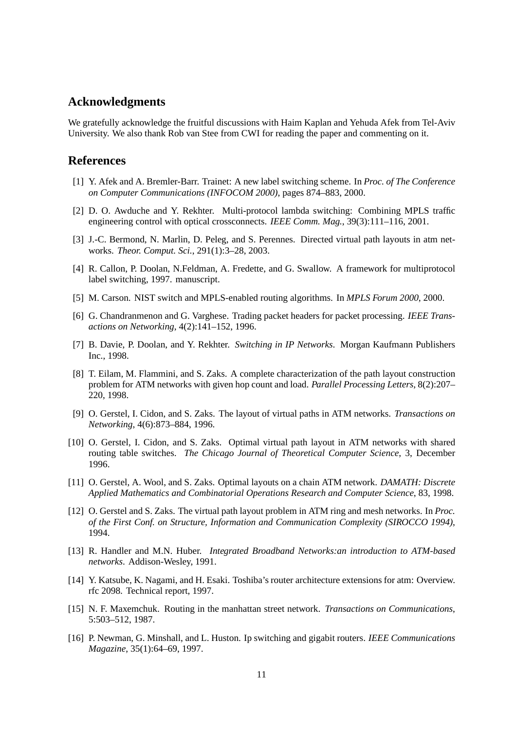#### **Acknowledgments**

We gratefully acknowledge the fruitful discussions with Haim Kaplan and Yehuda Afek from Tel-Aviv University. We also thank Rob van Stee from CWI for reading the paper and commenting on it.

#### **References**

- [1] Y. Afek and A. Bremler-Barr. Trainet: A new label switching scheme. In *Proc. of The Conference on Computer Communications (INFOCOM 2000)*, pages 874–883, 2000.
- [2] D. O. Awduche and Y. Rekhter. Multi-protocol lambda switching: Combining MPLS traffic engineering control with optical crossconnects. *IEEE Comm. Mag.*, 39(3):111–116, 2001.
- [3] J.-C. Bermond, N. Marlin, D. Peleg, and S. Perennes. Directed virtual path layouts in atm networks. *Theor. Comput. Sci.*, 291(1):3–28, 2003.
- [4] R. Callon, P. Doolan, N.Feldman, A. Fredette, and G. Swallow. A framework for multiprotocol label switching, 1997. manuscript.
- [5] M. Carson. NIST switch and MPLS-enabled routing algorithms. In *MPLS Forum 2000*, 2000.
- [6] G. Chandranmenon and G. Varghese. Trading packet headers for packet processing. *IEEE Transactions on Networking*, 4(2):141–152, 1996.
- [7] B. Davie, P. Doolan, and Y. Rekhter. *Switching in IP Networks*. Morgan Kaufmann Publishers Inc., 1998.
- [8] T. Eilam, M. Flammini, and S. Zaks. A complete characterization of the path layout construction problem for ATM networks with given hop count and load. *Parallel Processing Letters*, 8(2):207– 220, 1998.
- [9] O. Gerstel, I. Cidon, and S. Zaks. The layout of virtual paths in ATM networks. *Transactions on Networking*, 4(6):873–884, 1996.
- [10] O. Gerstel, I. Cidon, and S. Zaks. Optimal virtual path layout in ATM networks with shared routing table switches. *The Chicago Journal of Theoretical Computer Science*, 3, December 1996.
- [11] O. Gerstel, A. Wool, and S. Zaks. Optimal layouts on a chain ATM network. *DAMATH: Discrete Applied Mathematics and Combinatorial Operations Research and Computer Science*, 83, 1998.
- [12] O. Gerstel and S. Zaks. The virtual path layout problem in ATM ring and mesh networks. In *Proc. of the First Conf. on Structure, Information and Communication Complexity (SIROCCO 1994)*, 1994.
- [13] R. Handler and M.N. Huber. *Integrated Broadband Networks:an introduction to ATM-based networks*. Addison-Wesley, 1991.
- [14] Y. Katsube, K. Nagami, and H. Esaki. Toshiba's router architecture extensions for atm: Overview. rfc 2098. Technical report, 1997.
- [15] N. F. Maxemchuk. Routing in the manhattan street network. *Transactions on Communications*, 5:503–512, 1987.
- [16] P. Newman, G. Minshall, and L. Huston. Ip switching and gigabit routers. *IEEE Communications Magazine*, 35(1):64–69, 1997.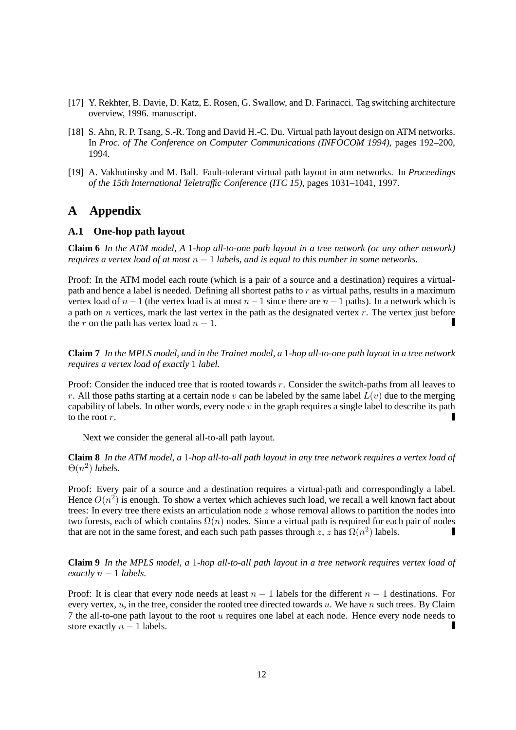- [17] Y. Rekhter, B. Davie, D. Katz, E. Rosen, G. Swallow, and D. Farinacci. Tag switching architecture overview, 1996. manuscript.
- [18] S. Ahn, R. P. Tsang, S.-R. Tong and David H.-C. Du. Virtual path layout design on ATM networks. In *Proc. of The Conference on Computer Communications (INFOCOM 1994)*, pages 192–200, 1994.
- [19] A. Vakhutinsky and M. Ball. Fault-tolerant virtual path layout in atm networks. In *Proceedings of the 15th International Teletraffic Conference (ITC 15)*, pages 1031–1041, 1997.

# **A Appendix**

#### **A.1 One-hop path layout**

**Claim 6** *In the ATM model, A* 1*-hop all-to-one path layout in a tree network (or any other network) requires a vertex load of at most* n − 1 *labels, and is equal to this number in some networks.*

Proof: In the ATM model each route (which is a pair of a source and a destination) requires a virtualpath and hence a label is needed. Defining all shortest paths to  $r$  as virtual paths, results in a maximum vertex load of  $n-1$  (the vertex load is at most  $n-1$  since there are  $n-1$  paths). In a network which is a path on  $n$  vertices, mark the last vertex in the path as the designated vertex  $r$ . The vertex just before the r on the path has vertex load  $n - 1$ .

**Claim 7** *In the MPLS model, and in the Trainet model, a* 1*-hop all-to-one path layout in a tree network requires a vertex load of exactly* 1 *label.*

Proof: Consider the induced tree that is rooted towards r. Consider the switch-paths from all leaves to r. All those paths starting at a certain node v can be labeled by the same label  $L(v)$  due to the merging capability of labels. In other words, every node  $v$  in the graph requires a single label to describe its path to the root  $r$ .

Next we consider the general all-to-all path layout.

**Claim 8** *In the ATM model, a* 1*-hop all-to-all path layout in any tree network requires a vertex load of*  $\Theta(n^2)$  *labels.* 

Proof: Every pair of a source and a destination requires a virtual-path and correspondingly a label. Hence  $O(n^2)$  is enough. To show a vertex which achieves such load, we recall a well known fact about trees: In every tree there exists an articulation node  $z$  whose removal allows to partition the nodes into two forests, each of which contains  $\Omega(n)$  nodes. Since a virtual path is required for each pair of nodes that are not in the same forest, and each such path passes through z, z has  $\Omega(n^2)$  labels.

**Claim 9** *In the MPLS model, a* 1*-hop all-to-all path layout in a tree network requires vertex load of exactly* n − 1 *labels.*

Proof: It is clear that every node needs at least  $n - 1$  labels for the different  $n - 1$  destinations. For every vertex,  $u$ , in the tree, consider the rooted tree directed towards  $u$ . We have  $n$  such trees. By Claim 7 the all-to-one path layout to the root u requires one label at each node. Hence every node needs to store exactly  $n - 1$  labels.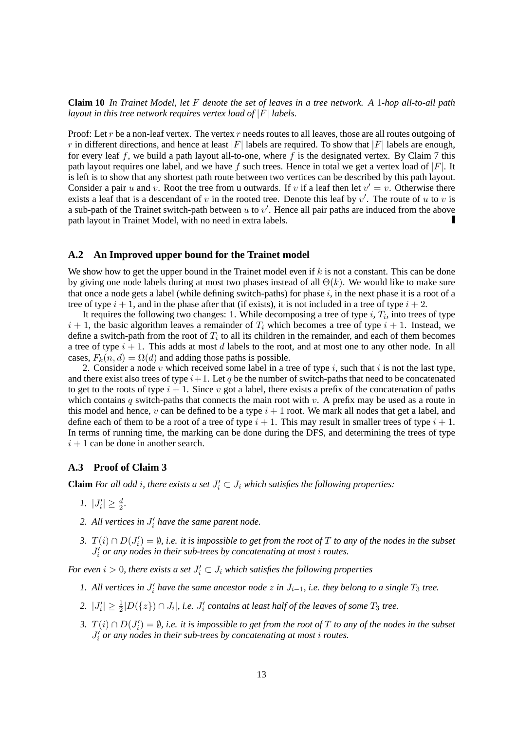**Claim 10** *In Trainet Model, let* F *denote the set of leaves in a tree network. A* 1*-hop all-to-all path layout in this tree network requires vertex load of* |F| *labels.*

Proof: Let r be a non-leaf vertex. The vertex r needs routes to all leaves, those are all routes outgoing of r in different directions, and hence at least  $|F|$  labels are required. To show that  $|F|$  labels are enough, for every leaf f, we build a path layout all-to-one, where f is the designated vertex. By Claim 7 this path layout requires one label, and we have  $f$  such trees. Hence in total we get a vertex load of  $|F|$ . It is left is to show that any shortest path route between two vertices can be described by this path layout. Consider a pair u and v. Root the tree from u outwards. If v if a leaf then let  $v' = v$ . Otherwise there exists a leaf that is a descendant of v in the rooted tree. Denote this leaf by  $v'$ . The route of u to v is a sub-path of the Trainet switch-path between u to v'. Hence all pair paths are induced from the above path layout in Trainet Model, with no need in extra labels.

#### **A.2 An Improved upper bound for the Trainet model**

We show how to get the upper bound in the Trainet model even if  $k$  is not a constant. This can be done by giving one node labels during at most two phases instead of all  $\Theta(k)$ . We would like to make sure that once a node gets a label (while defining switch-paths) for phase i, in the next phase it is a root of a tree of type  $i + 1$ , and in the phase after that (if exists), it is not included in a tree of type  $i + 2$ .

It requires the following two changes: 1. While decomposing a tree of type  $i, T_i$ , into trees of type  $i + 1$ , the basic algorithm leaves a remainder of  $T_i$  which becomes a tree of type  $i + 1$ . Instead, we define a switch-path from the root of  $T_i$  to all its children in the remainder, and each of them becomes a tree of type  $i + 1$ . This adds at most d labels to the root, and at most one to any other node. In all cases,  $F_k(n, d) = \Omega(d)$  and adding those paths is possible.

2. Consider a node v which received some label in a tree of type  $i$ , such that  $i$  is not the last type, and there exist also trees of type  $i+1$ . Let q be the number of switch-paths that need to be concatenated to get to the roots of type  $i + 1$ . Since v got a label, there exists a prefix of the concatenation of paths which contains q switch-paths that connects the main root with  $v$ . A prefix may be used as a route in this model and hence, v can be defined to be a type  $i + 1$  root. We mark all nodes that get a label, and define each of them to be a root of a tree of type  $i + 1$ . This may result in smaller trees of type  $i + 1$ . In terms of running time, the marking can be done during the DFS, and determining the trees of type  $i + 1$  can be done in another search.

#### **A.3 Proof of Claim 3**

**Claim** *For all odd i, there exists a set*  $J_i' \subset J_i$  *which satisfies the following properties:* 

- *1.*  $|J'_i| \geq \frac{d}{2}$ .
- 2. All vertices in  $J_i'$  have the same parent node.
- *3.*  $T(i) ∩ D(J'_{i}) = ∅$ *, i.e. it is impossible to get from the root of* T *to any of the nodes in the subset*  $J_i'$  or any nodes in their sub-trees by concatenating at most  $i$  routes.

For even  $i > 0$ , there exists a set  $J_i' \subset J_i$  which satisfies the following properties

- *1.* All vertices in  $J_i'$  have the same ancestor node z in  $J_{i-1}$ , i.e. they belong to a single  $T_3$  tree.
- $2. |J'_i| \geq \frac{1}{2}|D(\lbrace z \rbrace) \cap J_i|$ , *i.e.*  $J'_i$  contains at least half of the leaves of some  $T_3$  tree.
- *3.*  $T(i) ∩ D(J'_{i}) = ∅$ *, i.e. it is impossible to get from the root of* T *to any of the nodes in the subset*  $J_i'$  or any nodes in their sub-trees by concatenating at most  $i$  routes.